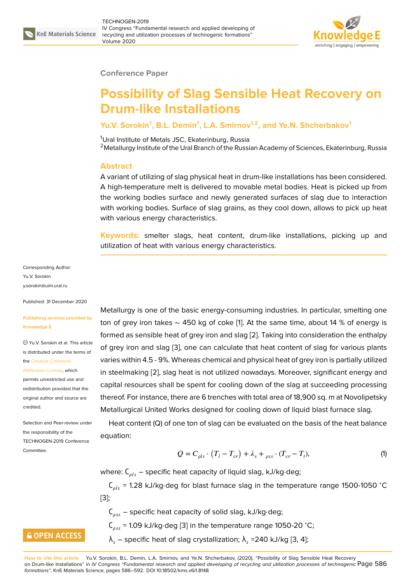

#### **Conference Paper**

# **Possibility of Slag Sensible Heat Recovery on Drum-like Installations**

### **Yu.V. Sorokin<sup>1</sup> , B.L. Demin<sup>1</sup> , L.A. Smirnov1,2, and Ye.N. Shcherbakov<sup>1</sup>**

<sup>1</sup>Ural Institute of Metals JSC, Ekaterinburg, Russia

<sup>2</sup> Metallurgy Institute of the Ural Branch of the Russian Academy of Sciences, Ekaterinburg, Russia

#### **Abstract**

A variant of utilizing of slag physical heat in drum-like installations has been considered. A high-temperature melt is delivered to movable metal bodies. Heat is picked up from the working bodies surface and newly generated surfaces of slag due to interaction with working bodies. Surface of slag grains, as they cool down, allows to pick up heat with various energy characteristics.

**Keywords:** smelter slags, heat content, drum-like installations, picking up and utilization of heat with various energy characteristics.

Corresponding Author: Yu.V. Sorokin y.sorokin@uim.ural.ru

Published: 31 December 2020

#### **[Publishing services p](mailto:y.sorokin@uim.ural.ru)rovided by Knowledge E**

Yu.V. Sorokin et al. This article is distributed under the terms of the Creative Commons

Attribution License, which

permits unrestricted use and redistribution provided that the orig[inal author and sou](https://creativecommons.org/licenses/by/4.0/)rce are [credited.](https://creativecommons.org/licenses/by/4.0/)

Selection and Peer-review under the responsibility of the TECHNOGEN-2019 Conference **Committee** 

**GOPEN ACCESS** 

Metallurgy is one of the basic energy-consuming industries. In particular, smelting one ton of grey iron takes ∼ 450 kg of coke [1]. At the same time, about 14 % of energy is formed as sensible heat of grey iron and slag [2]. Taking into consideration the enthalpy of grey iron and slag [3], one can calculate that heat content of slag for various plants varies within 4.5 - 9%. Whereas chemical a[n](#page-5-0)d physical heat of grey iron is partially utilized in steelmaking [2], slag heat is not utilized no[wa](#page-5-1)days. Moreover, significant energy and capital resources shal[l b](#page-5-2)e spent for cooling down of the slag at succeeding processing thereof. For instance, there are 6 trenches with total area of 18,900 sq. m at Novolipetsky Metallurgical U[nit](#page-5-1)ed Works designed for cooling down of liquid blast furnace slag.

Heat content (Q) of one ton of slag can be evaluated on the basis of the heat balance equation:

$$
Q = C_{\rho l s} \cdot (T_l - T_{cr}) + \lambda_s + \lambda_{\rho s s} \cdot (T_{cr} - T_l), \tag{1}
$$

where:  $C_{ols}$  – specific heat capacity of liquid slag, kJ/kg⋅deg;

 $C_{ols}$  = 1.28 kJ/kg⋅deg for blast furnace slag in the temperature range 1500-1050 °C [3];

 $C_{\text{ass}}$  – specific heat capacity of solid slag, kJ/kg⋅deg;  $C_{\text{ass}}$  = 1.09 kJ/kg⋅deg [3] in the temperature range 1050-20 °C;  $\lambda_{_S}$  – specific heat of slag crystallization;  $\lambda_{_S}$  =240 kJ/kg [3, 4];

**How to cite this article**: Yu.V. Sorokin, B.L. Demin, L.A. Smirnov, [an](#page-5-2)d Ye.N. Shcherbakov, (2020), "Possibility of Slag Sensible Heat Recovery on Drum-like Installations" in *IV Congress "Fundamental research and applied developing of recycling and utilization processes of technogenic* Page 586 *formations"*, KnE Materials Science, pages 586–592. DOI 10.18502/kms.v6i1.8148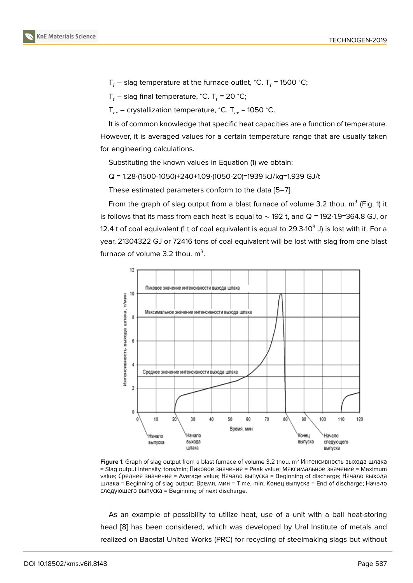$\mathsf{T}_l$  – slag temperature at the furnace outlet, °C. T<sub>l</sub> = 1500 °C;

 $T_t$  – slag final temperature, °C. T<sub>t</sub> = 20 °C;

 $T_{cr}$  – crystallization temperature, °C. T<sub>cr</sub> = 1050 °C.

It is of common knowledge that specific heat capacities are a function of temperature. However, it is averaged values for a certain temperature range that are usually taken for engineering calculations.

Substituting the known values in Equation (1) we obtain:

Q = 1.28⋅(1500-1050)+240+1.09⋅(1050-20)=1939 kJ/kg=1.939 GJ/t

These estimated parameters conform to the data [5–7].

From the graph of slag output from a blast furnace of volume 3.2 thou.  $\mathsf{m}^{3}$  (Fig. 1) it is follows that its mass from each heat is equal to ∼ 192 t, and Q = 192⋅1.9=364.8 GJ, or 12.4 t of coal equivalent (1 t of coal equivalent is equ[al t](#page-5-3)[o](#page-5-4) 29.3 $\cdot$ 10 $^{\rm 9}$  J) is lost with it. For a year, 21304322 GJ or 72416 tons of coal equivalent will be lost with slag from one blast furnace of volume 3.2 thou.  $m^3$ .



**Figure** 1: Graph of slag output from a blast furnace of volume 3.2 thou. m<sup>3</sup> Интенсивность выхода шлака = Slag output intensity, tons/min; Пиковое значение = Peak value; Mаксимальное значение = Maximum value; Среднее значение = Average value; Начало выпуска = Beginning of discharge; Начало выхода шлака = Beginning of slag output; Время, мин = Time, min; Kонец выпуска = End of discharge; Начало следующего выпуска = Beginning of next discharge.

As an example of possibility to utilize heat, use of a unit with a ball heat-storing head [8] has been considered, which was developed by Ural Institute of metals and realized on Baostal United Works (PRC) for recycling of steelmaking slags but without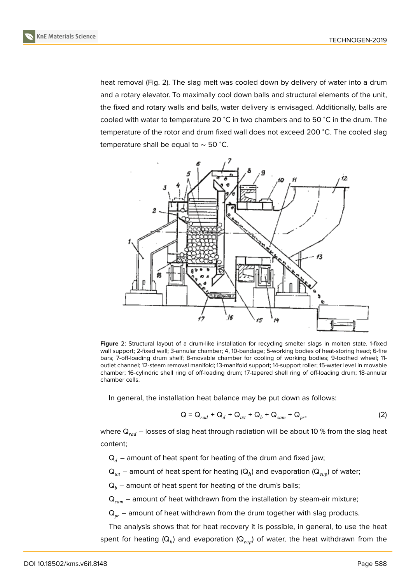

heat removal (Fig. 2). The slag melt was cooled down by delivery of water into a drum and a rotary elevator. To maximally cool down balls and structural elements of the unit, the fixed and rotary walls and balls, water delivery is envisaged. Additionally, balls are cooled with water to temperature 20 <sup>∘</sup>C in two chambers and to 50 <sup>∘</sup>C in the drum. The temperature of the rotor and drum fixed wall does not exceed 200 °C. The cooled slag temperature shall be equal to ∼ 50 <sup>∘</sup>C.



**Figure** 2: Structural layout of a drum-like installation for recycling smelter slags in molten state. 1-fixed wall support; 2-fixed wall; 3-annular chamber; 4, 10-bandage; 5-working bodies of heat-storing head; 6-fire bars; 7-off-loading drum shelf; 8-movable chamber for cooling of working bodies; 9-toothed wheel; 11 outlet channel; 12-steam removal manifold; 13-manifold support; 14-support roller; 15-water level in movable chamber; 16-cylindric shell ring of off-loading drum; 17-tapered shell ring of off-loading drum; 18-annular chamber cells.

In general, the installation heat balance may be put down as follows:

$$
Q = Q_{rad} + Q_d + Q_{wt} + Q_b + Q_{sam} + Q_{pr},
$$
\n(2)

where  $\mathsf{Q}_{rad}$  – losses of slag heat through radiation will be about 10 % from the slag heat content;

 $Q_d$  – amount of heat spent for heating of the drum and fixed jaw;

 ${\sf Q}_{wt}$  – amount of heat spent for heating ( ${\sf Q}_{h}$ ) and evaporation ( ${\sf Q}_{evp}$ ) of water;

 $Q_b$  – amount of heat spent for heating of the drum's balls;

 $Q_{\text{sam}}$  – amount of heat withdrawn from the installation by steam-air mixture;

 $Q_{pr}$  – amount of heat withdrawn from the drum together with slag products.

The analysis shows that for heat recovery it is possible, in general, to use the heat spent for heating (Q $_h$ ) and evaporation (Q $_{evp}$ ) of water, the heat withdrawn from the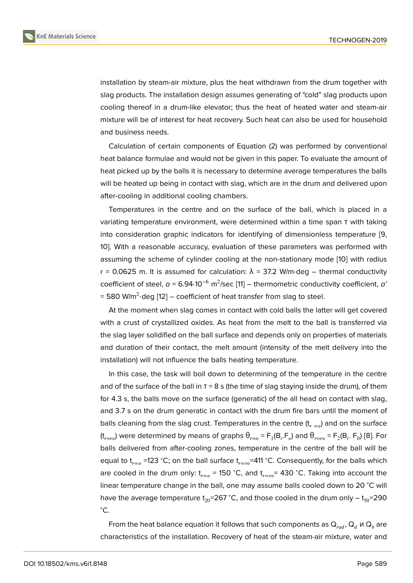installation by steam-air mixture, plus the heat withdrawn from the drum together with slag products. The installation design assumes generating of "cold" slag products upon cooling thereof in a drum-like elevator; thus the heat of heated water and steam-air mixture will be of interest for heat recovery. Such heat can also be used for household and business needs.

Calculation of certain components of Equation (2) was performed by conventional heat balance formulae and would not be given in this paper. To evaluate the amount of heat picked up by the balls it is necessary to determine average temperatures the balls will be heated up being in contact with slag, which are in the drum and delivered upon after-cooling in additional cooling chambers.

Temperatures in the centre and on the surface of the ball, which is placed in a variating temperature environment, were determined within a time span τ with taking into consideration graphic indicators for identifying of dimensionless temperature [9, 10]. With a reasonable accuracy, evaluation of these parameters was performed with assuming the scheme of cylinder cooling at the non-stationary mode [10] with radius r = 0.0625 m. It is assumed for calculation:  $\lambda$  = 37.2 W/m⋅deg – thermal conductiv[ity](#page-6-0) [co](#page-6-1)efficient of steel,  $a$  = 6.94⋅10<sup>-6</sup> m<sup>2</sup>/sec [11] – thermometric conductivity coefficient,  $a'$ = 580 W/m<sup>2</sup>·deg [12] – coefficient of heat transfer from slag to steel.

At the moment when slag comes in contact with cold balls the latter will get covered with a crust of crystallized oxides. As he[at](#page-6-2) from the melt to the ball is transferred via the slag layer soli[dif](#page-6-3)ied on the ball surface and depends only on properties of materials and duration of their contact, the melt amount (intensity of the melt delivery into the installation) will not influence the balls heating temperature.

In this case, the task will boil down to determining of the temperature in the centre and of the surface of the ball in  $T = 8$  s (the time of slag staying inside the drum), of them for 4.3 s, the balls move on the surface (generatic) of the all head on contact with slag, and 3.7 s on the drum generatic in contact with the drum fire bars until the moment of balls cleaning from the slag crust. Temperatures in the centre  $(t_{r=0})$  and on the surface (t $_{r=ro}$ ) were determined by means of graphs  $\theta_{r=o}$  =  $\mathsf{F}_1(\mathsf{B}_i.\mathsf{F}_o)$  and  $\theta_{r=ro}$  =  $\mathsf{F}_2(\mathsf{B}_i.\,\mathsf{F}_0)$  [8]. For balls delivered from after-cooling zones, temperature in the centre of the ball will be equal to t<sub>r=0</sub> =123 °C; on the ball surface t<sub>r=ro</sub>=411 °C. Consequently, for the balls which are cooled in the drum only:  $t_{r=0}$  = 150 °C, and  $t_{r=r_0}$  = 430 °C. Taking into acco[un](#page-5-5)t the linear temperature change in the ball, one may assume balls cooled down to 20 <sup>∘</sup>C will have the average temperature  $t_{20}=267$  °C, and those cooled in the drum only –  $t_{50}=290$ <sup>∘</sup>C.

From the heat balance equation it follows that such components as  $Q_{rad}$ ,  $Q_d$   $\mu$   $Q_b$  are characteristics of the installation. Recovery of heat of the steam-air mixture, water and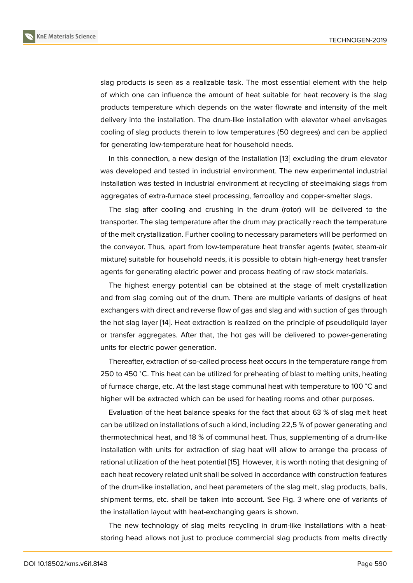slag products is seen as a realizable task. The most essential element with the help of which one can influence the amount of heat suitable for heat recovery is the slag products temperature which depends on the water flowrate and intensity of the melt delivery into the installation. The drum-like installation with elevator wheel envisages cooling of slag products therein to low temperatures (50 degrees) and can be applied for generating low-temperature heat for household needs.

In this connection, a new design of the installation [13] excluding the drum elevator was developed and tested in industrial environment. The new experimental industrial installation was tested in industrial environment at recycling of steelmaking slags from aggregates of extra-furnace steel processing, ferroallo[y a](#page-6-4)nd copper-smelter slags.

The slag after cooling and crushing in the drum (rotor) will be delivered to the transporter. The slag temperature after the drum may practically reach the temperature of the melt crystallization. Further cooling to necessary parameters will be performed on the conveyor. Thus, apart from low-temperature heat transfer agents (water, steam-air mixture) suitable for household needs, it is possible to obtain high-energy heat transfer agents for generating electric power and process heating of raw stock materials.

The highest energy potential can be obtained at the stage of melt crystallization and from slag coming out of the drum. There are multiple variants of designs of heat exchangers with direct and reverse flow of gas and slag and with suction of gas through the hot slag layer [14]. Heat extraction is realized on the principle of pseudoliquid layer or transfer aggregates. After that, the hot gas will be delivered to power-generating units for electric power generation.

Thereafter, extr[act](#page-6-5)ion of so-called process heat occurs in the temperature range from 250 to 450 °C. This heat can be utilized for preheating of blast to melting units, heating of furnace charge, etc. At the last stage communal heat with temperature to 100 <sup>∘</sup>C and higher will be extracted which can be used for heating rooms and other purposes.

Evaluation of the heat balance speaks for the fact that about 63 % of slag melt heat can be utilized on installations of such a kind, including 22,5 % of power generating and thermotechnical heat, and 18 % of communal heat. Thus, supplementing of a drum-like installation with units for extraction of slag heat will allow to arrange the process of rational utilization of the heat potential [15]. However, it is worth noting that designing of each heat recovery related unit shall be solved in accordance with construction features of the drum-like installation, and heat parameters of the slag melt, slag products, balls, shipment terms, etc. shall be taken int[o a](#page-6-6)ccount. See Fig. 3 where one of variants of the installation layout with heat-exchanging gears is shown.

The new technology of slag melts recycling in drum-like installations with a heatstoring head allows not just to produce commercial slag products from melts directly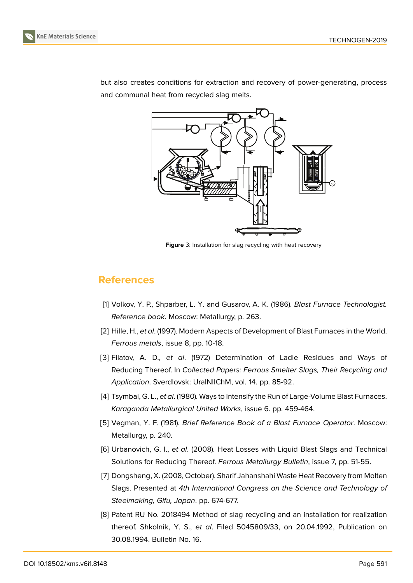





but also creates conditions for extraction and recovery of power-generating, process and communal heat from recycled slag melts.

**Figure** 3: Installation for slag recycling with heat recovery

## **References**

- <span id="page-5-0"></span>[1] Volkov, Y. P., Shparber, L. Y. and Gusarov, A. K. (1986). *Blast Furnace Technologist. Reference book*. Moscow: Metallurgy, p. 263.
- <span id="page-5-1"></span>[2] Hille, H., *et al*. (1997). Modern Aspects of Development of Blast Furnaces in the World. *Ferrous metals*, issue 8, pp. 10-18.
- <span id="page-5-2"></span>[3] Filatov, A. D., *et al*. (1972) Determination of Ladle Residues and Ways of Reducing Thereof. In *Collected Papers: Ferrous Smelter Slags, Their Recycling and Application*. Sverdlovsk: UralNIIChM, vol. 14. pp. 85-92.
- [4] Tsymbal, G. L., *et al*. (1980). Ways to Intensify the Run of Large-Volume Blast Furnaces. *Karaganda Metallurgical United Works*, issue 6. pp. 459-464.
- <span id="page-5-3"></span>[5] Vegman, Y. F. (1981). *Brief Reference Book of a Blast Furnace Operator*. Moscow: Metallurgy, p. 240.
- [6] Urbanovich, G. I., *et al*. (2008). Heat Losses with Liquid Blast Slags and Technical Solutions for Reducing Thereof. *Ferrous Metallurgy Bulletin*, issue 7, pp. 51-55.
- <span id="page-5-4"></span>[7] Dongsheng, X. (2008, October). Sharif Jahanshahi Waste Heat Recovery from Molten Slags. Presented at *4th International Congress on the Science and Technology of Steelmaking, Gifu, Japan*. pp. 674-677.
- <span id="page-5-5"></span>[8] Patent RU No. 2018494 Method of slag recycling and an installation for realization thereof. Shkolnik, Y. S., *et al*. Filed 5045809/33, on 20.04.1992, Publication on 30.08.1994. Bulletin No. 16.